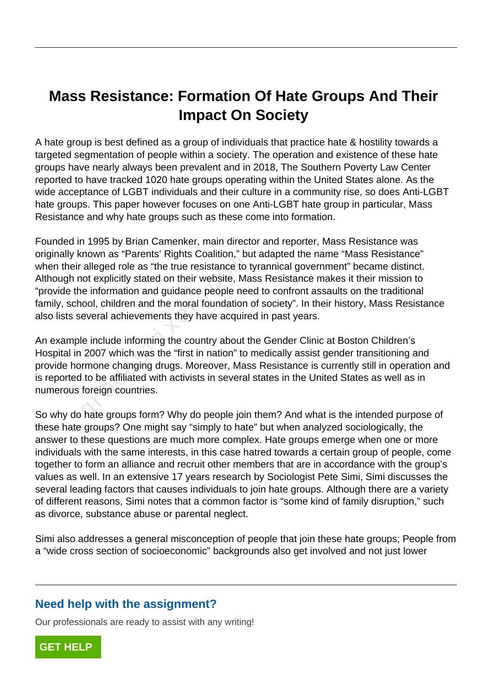## **Mass Resistance: Formation Of Hate Groups And Their Impact On Society**

A hate group is best defined as a group of individuals that practice hate & hostility towards a targeted segmentation of people within a society. The operation and existence of these hate groups have nearly always been prevalent and in 2018, The Southern Poverty Law Center reported to have tracked 1020 hate groups operating within the United States alone. As the wide acceptance of LGBT individuals and their culture in a community rise, so does Anti-LGBT hate groups. This paper however focuses on one Anti-LGBT hate group in particular, Mass Resistance and why hate groups such as these come into formation.

Founded in 1995 by Brian Camenker, main director and reporter, Mass Resistance was originally known as "Parents' Rights Coalition," but adapted the name "Mass Resistance" when their alleged role as "the true resistance to tyrannical government" became distinct. Although not explicitly stated on their website, Mass Resistance makes it their mission to "provide the information and guidance people need to confront assaults on the traditional family, school, children and the moral foundation of society". In their history, Mass Resistance also lists several achievements they have acquired in past years. alleged role as "the true resistance to<br>alleged role as "the true resistance to<br>not explicitly stated on their website, Ma<br>le information and guidance people nee<br>nool, children and the moral foundation<br>everal achievements

An example include informing the country about the Gender Clinic at Boston Children's Hospital in 2007 which was the "first in nation" to medically assist gender transitioning and provide hormone changing drugs. Moreover, Mass Resistance is currently still in operation and is reported to be affiliated with activists in several states in the United States as well as in numerous foreign countries.

So why do hate groups form? Why do people join them? And what is the intended purpose of these hate groups? One might say "simply to hate" but when analyzed sociologically, the answer to these questions are much more complex. Hate groups emerge when one or more individuals with the same interests, in this case hatred towards a certain group of people, come together to form an alliance and recruit other members that are in accordance with the group's values as well. In an extensive 17 years research by Sociologist Pete Simi, Simi discusses the several leading factors that causes individuals to join hate groups. Although there are a variety of different reasons, Simi notes that a common factor is "some kind of family disruption," such as divorce, substance abuse or parental neglect.

Simi also addresses a general misconception of people that join these hate groups; People from a "wide cross section of socioeconomic" backgrounds also get involved and not just lower

## **Need help with the assignment?**

Our professionals are ready to assist with any writing!

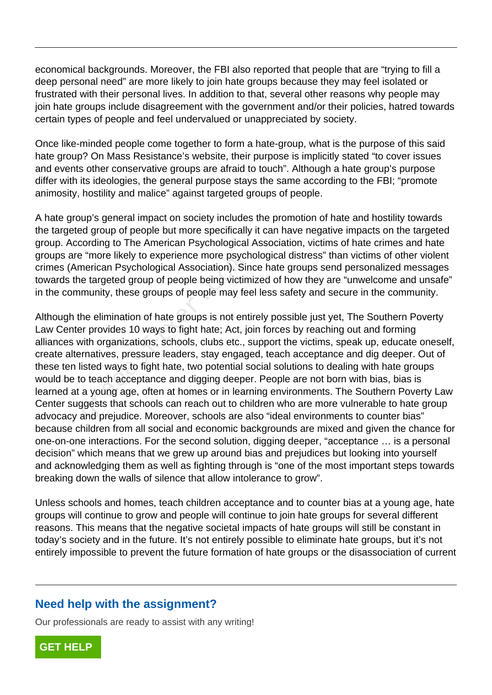economical backgrounds. Moreover, the FBI also reported that people that are "trying to fill a deep personal need" are more likely to join hate groups because they may feel isolated or frustrated with their personal lives. In addition to that, several other reasons why people may join hate groups include disagreement with the government and/or their policies, hatred towards certain types of people and feel undervalued or unappreciated by society.

Once like-minded people come together to form a hate-group, what is the purpose of this said hate group? On Mass Resistance's website, their purpose is implicitly stated "to cover issues and events other conservative groups are afraid to touch". Although a hate group's purpose differ with its ideologies, the general purpose stays the same according to the FBI; "promote animosity, hostility and malice" against targeted groups of people.

A hate group's general impact on society includes the promotion of hate and hostility towards the targeted group of people but more specifically it can have negative impacts on the targeted group. According to The American Psychological Association, victims of hate crimes and hate groups are "more likely to experience more psychological distress" than victims of other violent crimes (American Psychological Association). Since hate groups send personalized messages towards the targeted group of people being victimized of how they are "unwelcome and unsafe" in the community, these groups of people may feel less safety and secure in the community.

Although the elimination of hate groups is not entirely possible just yet, The Southern Poverty Law Center provides 10 ways to fight hate; Act, join forces by reaching out and forming alliances with organizations, schools, clubs etc., support the victims, speak up, educate oneself, create alternatives, pressure leaders, stay engaged, teach acceptance and dig deeper. Out of these ten listed ways to fight hate, two potential social solutions to dealing with hate groups would be to teach acceptance and digging deeper. People are not born with bias, bias is learned at a young age, often at homes or in learning environments. The Southern Poverty Law Center suggests that schools can reach out to children who are more vulnerable to hate group advocacy and prejudice. Moreover, schools are also "ideal environments to counter bias" because children from all social and economic backgrounds are mixed and given the chance for one-on-one interactions. For the second solution, digging deeper, "acceptance … is a personal decision" which means that we grew up around bias and prejudices but looking into yourself and acknowledging them as well as fighting through is "one of the most important steps towards breaking down the walls of silence that allow intolerance to grow". France inversion. Simole interpretation of people being victim<br>munity, these groups of people being victim<br>munity, these groups of people may fe<br>he elimination of hate groups is not ent<br>er provides 10 ways to fight hate; A

Unless schools and homes, teach children acceptance and to counter bias at a young age, hate groups will continue to grow and people will continue to join hate groups for several different reasons. This means that the negative societal impacts of hate groups will still be constant in today's society and in the future. It's not entirely possible to eliminate hate groups, but it's not entirely impossible to prevent the future formation of hate groups or the disassociation of current

## **Need help with the assignment?**

Our professionals are ready to assist with any writing!